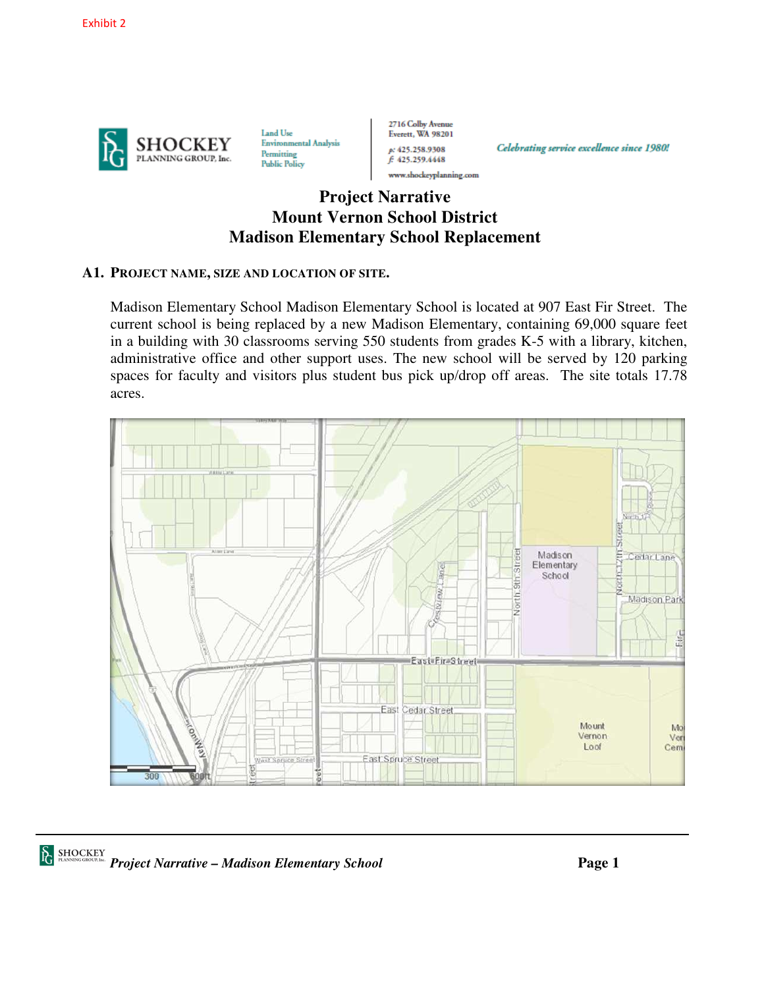

Land Use **Environmental Analysis** Permitting **Public Policy** 

2716 Colby Avenue Everett, WA 98201 p: 425.258.9308 f: 425.259.4448 www.shockeyplanning.com

Celebrating service excellence since 1980!

# **Project Narrative Mount Vernon School District Madison Elementary School Replacement**

#### **A1. PROJECT NAME, SIZE AND LOCATION OF SITE.**

Madison Elementary School Madison Elementary School is located at 907 East Fir Street. The current school is being replaced by a new Madison Elementary, containing 69,000 square feet in a building with 30 classrooms serving 550 students from grades K-5 with a library, kitchen, administrative office and other support uses. The new school will be served by 120 parking spaces for faculty and visitors plus student bus pick up/drop off areas. The site totals 17.78 acres.

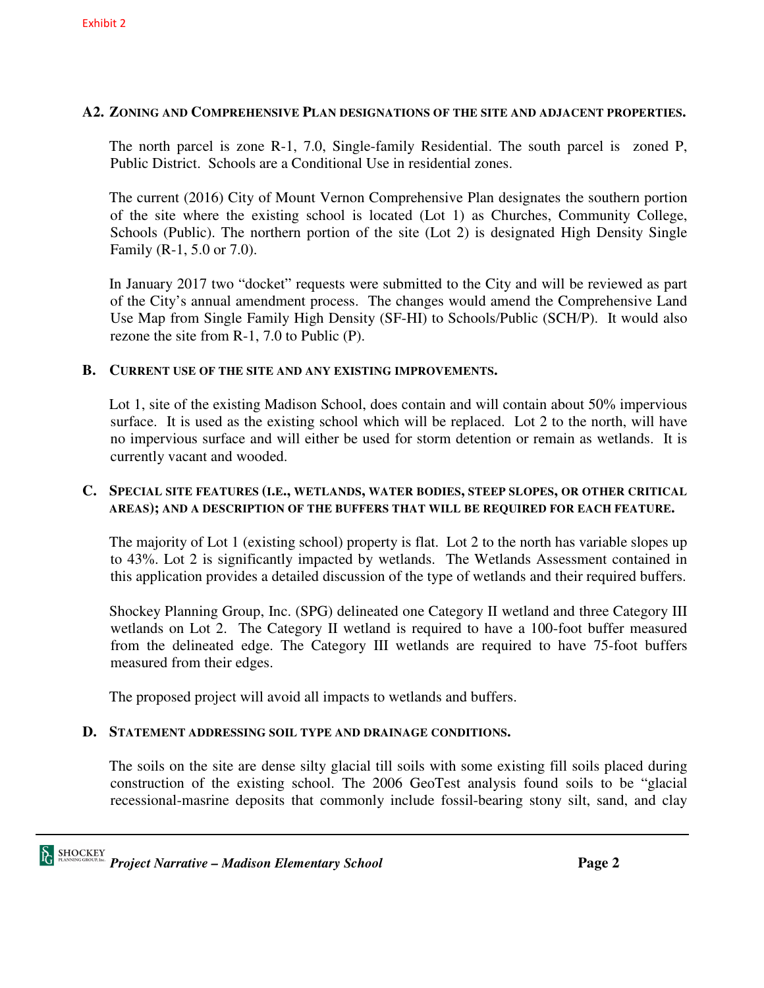#### Exhibit 2

#### **A2. ZONING AND COMPREHENSIVE PLAN DESIGNATIONS OF THE SITE AND ADJACENT PROPERTIES.**

The north parcel is zone R-1, 7.0, Single-family Residential. The south parcel is zoned P, Public District. Schools are a Conditional Use in residential zones.

The current (2016) City of Mount Vernon Comprehensive Plan designates the southern portion of the site where the existing school is located (Lot 1) as Churches, Community College, Schools (Public). The northern portion of the site (Lot 2) is designated High Density Single Family (R-1, 5.0 or 7.0).

In January 2017 two "docket" requests were submitted to the City and will be reviewed as part of the City's annual amendment process. The changes would amend the Comprehensive Land Use Map from Single Family High Density (SF-HI) to Schools/Public (SCH/P). It would also rezone the site from R-1, 7.0 to Public (P).

#### **B. CURRENT USE OF THE SITE AND ANY EXISTING IMPROVEMENTS.**

Lot 1, site of the existing Madison School, does contain and will contain about 50% impervious surface. It is used as the existing school which will be replaced. Lot 2 to the north, will have no impervious surface and will either be used for storm detention or remain as wetlands. It is currently vacant and wooded.

#### **C. SPECIAL SITE FEATURES (I.E., WETLANDS, WATER BODIES, STEEP SLOPES, OR OTHER CRITICAL AREAS); AND A DESCRIPTION OF THE BUFFERS THAT WILL BE REQUIRED FOR EACH FEATURE.**

The majority of Lot 1 (existing school) property is flat. Lot 2 to the north has variable slopes up to 43%. Lot 2 is significantly impacted by wetlands. The Wetlands Assessment contained in this application provides a detailed discussion of the type of wetlands and their required buffers.

Shockey Planning Group, Inc. (SPG) delineated one Category II wetland and three Category III wetlands on Lot 2. The Category II wetland is required to have a 100-foot buffer measured from the delineated edge. The Category III wetlands are required to have 75-foot buffers measured from their edges.

The proposed project will avoid all impacts to wetlands and buffers.

#### **D. STATEMENT ADDRESSING SOIL TYPE AND DRAINAGE CONDITIONS.**

The soils on the site are dense silty glacial till soils with some existing fill soils placed during construction of the existing school. The 2006 GeoTest analysis found soils to be "glacial recessional-masrine deposits that commonly include fossil-bearing stony silt, sand, and clay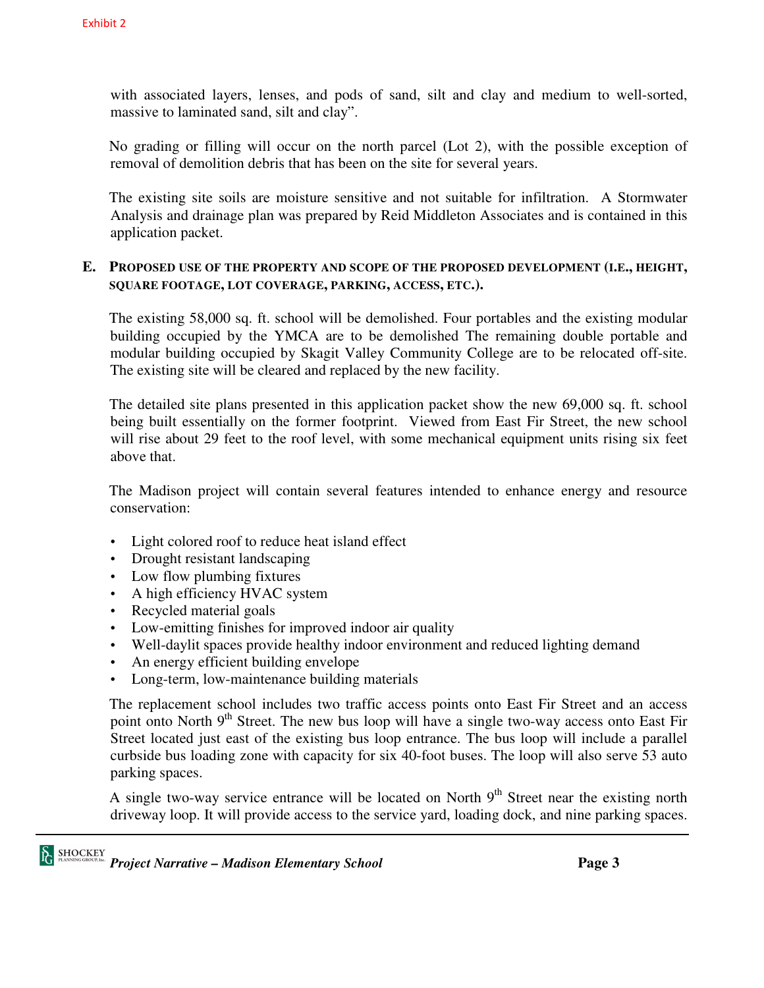with associated layers, lenses, and pods of sand, silt and clay and medium to well-sorted, massive to laminated sand, silt and clay".

No grading or filling will occur on the north parcel (Lot 2), with the possible exception of removal of demolition debris that has been on the site for several years.

The existing site soils are moisture sensitive and not suitable for infiltration. A Stormwater Analysis and drainage plan was prepared by Reid Middleton Associates and is contained in this application packet.

#### **E. PROPOSED USE OF THE PROPERTY AND SCOPE OF THE PROPOSED DEVELOPMENT (I.E., HEIGHT, SQUARE FOOTAGE, LOT COVERAGE, PARKING, ACCESS, ETC.).**

The existing 58,000 sq. ft. school will be demolished. Four portables and the existing modular building occupied by the YMCA are to be demolished The remaining double portable and modular building occupied by Skagit Valley Community College are to be relocated off-site. The existing site will be cleared and replaced by the new facility.

The detailed site plans presented in this application packet show the new 69,000 sq. ft. school being built essentially on the former footprint. Viewed from East Fir Street, the new school will rise about 29 feet to the roof level, with some mechanical equipment units rising six feet above that.

The Madison project will contain several features intended to enhance energy and resource conservation:

- Light colored roof to reduce heat island effect
- Drought resistant landscaping
- Low flow plumbing fixtures
- A high efficiency HVAC system
- Recycled material goals
- Low-emitting finishes for improved indoor air quality
- Well-daylit spaces provide healthy indoor environment and reduced lighting demand
- An energy efficient building envelope
- Long-term, low-maintenance building materials

The replacement school includes two traffic access points onto East Fir Street and an access point onto North 9<sup>th</sup> Street. The new bus loop will have a single two-way access onto East Fir Street located just east of the existing bus loop entrance. The bus loop will include a parallel curbside bus loading zone with capacity for six 40-foot buses. The loop will also serve 53 auto parking spaces.

A single two-way service entrance will be located on North  $9<sup>th</sup>$  Street near the existing north driveway loop. It will provide access to the service yard, loading dock, and nine parking spaces.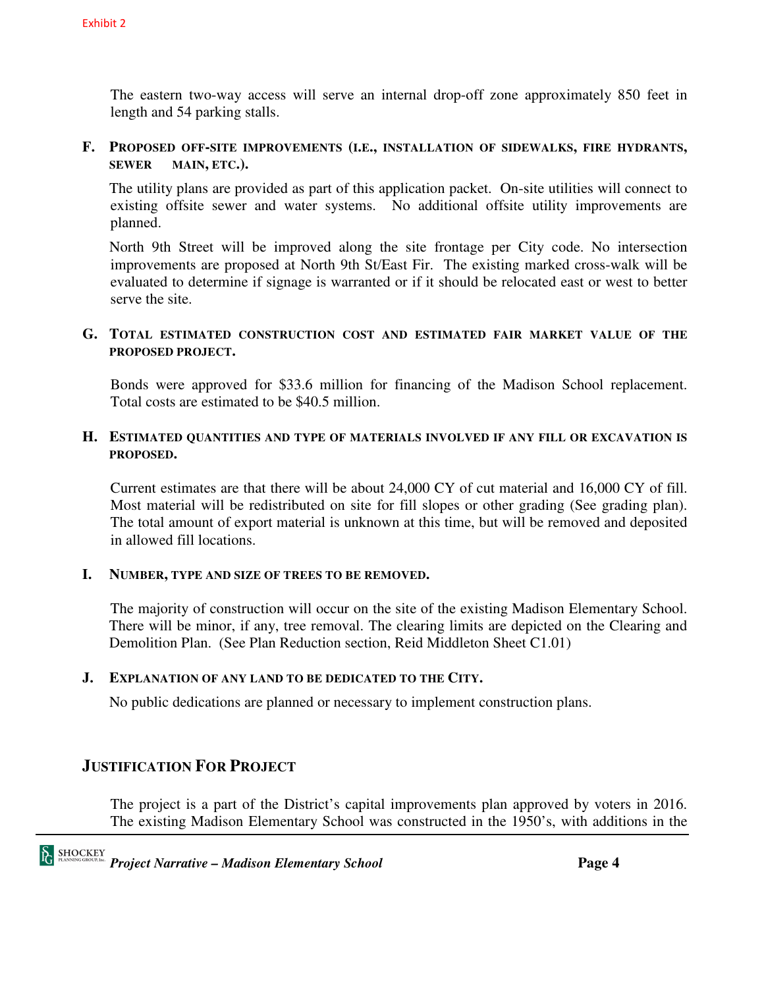The eastern two-way access will serve an internal drop-off zone approximately 850 feet in length and 54 parking stalls.

**F. PROPOSED OFF-SITE IMPROVEMENTS (I.E., INSTALLATION OF SIDEWALKS, FIRE HYDRANTS, SEWER MAIN, ETC.).** 

The utility plans are provided as part of this application packet. On-site utilities will connect to existing offsite sewer and water systems. No additional offsite utility improvements are planned.

North 9th Street will be improved along the site frontage per City code. No intersection improvements are proposed at North 9th St/East Fir. The existing marked cross-walk will be evaluated to determine if signage is warranted or if it should be relocated east or west to better serve the site.

### **G. TOTAL ESTIMATED CONSTRUCTION COST AND ESTIMATED FAIR MARKET VALUE OF THE PROPOSED PROJECT.**

 Bonds were approved for \$33.6 million for financing of the Madison School replacement. Total costs are estimated to be \$40.5 million.

### **H. ESTIMATED QUANTITIES AND TYPE OF MATERIALS INVOLVED IF ANY FILL OR EXCAVATION IS PROPOSED.**

 Current estimates are that there will be about 24,000 CY of cut material and 16,000 CY of fill. Most material will be redistributed on site for fill slopes or other grading (See grading plan). The total amount of export material is unknown at this time, but will be removed and deposited in allowed fill locations.

### **I. NUMBER, TYPE AND SIZE OF TREES TO BE REMOVED.**

 The majority of construction will occur on the site of the existing Madison Elementary School. There will be minor, if any, tree removal. The clearing limits are depicted on the Clearing and Demolition Plan. (See Plan Reduction section, Reid Middleton Sheet C1.01)

### **J. EXPLANATION OF ANY LAND TO BE DEDICATED TO THE CITY.**

No public dedications are planned or necessary to implement construction plans.

## **JUSTIFICATION FOR PROJECT**

 The project is a part of the District's capital improvements plan approved by voters in 2016. The existing Madison Elementary School was constructed in the 1950's, with additions in the